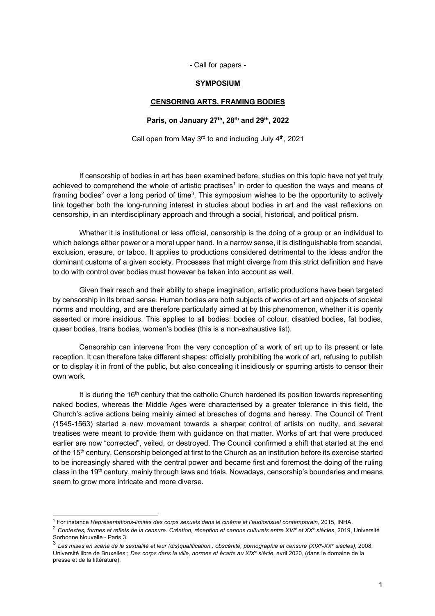- Call for papers -

#### **SYMPOSIUM**

## **CENSORING ARTS, FRAMING BODIES**

#### **Paris, on January 27th, 28th and 29th, 2022**

Call open from May  $3<sup>rd</sup>$  to and including July  $4<sup>th</sup>$ , 2021

If censorship of bodies in art has been examined before, studies on this topic have not yet truly achieved to comprehend the whole of artistic practises<sup>1</sup> in order to question the ways and means of framing bodies<sup>2</sup> over a long period of time<sup>3</sup>. This symposium wishes to be the opportunity to actively link together both the long-running interest in studies about bodies in art and the vast reflexions on censorship, in an interdisciplinary approach and through a social, historical, and political prism.

Whether it is institutional or less official, censorship is the doing of a group or an individual to which belongs either power or a moral upper hand. In a narrow sense, it is distinguishable from scandal, exclusion, erasure, or taboo. It applies to productions considered detrimental to the ideas and/or the dominant customs of a given society. Processes that might diverge from this strict definition and have to do with control over bodies must however be taken into account as well.

Given their reach and their ability to shape imagination, artistic productions have been targeted by censorship in its broad sense. Human bodies are both subjects of works of art and objects of societal norms and moulding, and are therefore particularly aimed at by this phenomenon, whether it is openly asserted or more insidious. This applies to all bodies: bodies of colour, disabled bodies, fat bodies, queer bodies, trans bodies, women's bodies (this is a non-exhaustive list).

Censorship can intervene from the very conception of a work of art up to its present or late reception. It can therefore take different shapes: officially prohibiting the work of art, refusing to publish or to display it in front of the public, but also concealing it insidiously or spurring artists to censor their own work.

It is during the 16<sup>th</sup> century that the catholic Church hardened its position towards representing naked bodies, whereas the Middle Ages were characterised by a greater tolerance in this field, the Church's active actions being mainly aimed at breaches of dogma and heresy. The Council of Trent (1545-1563) started a new movement towards a sharper control of artists on nudity, and several treatises were meant to provide them with guidance on that matter. Works of art that were produced earlier are now "corrected", veiled, or destroyed. The Council confirmed a shift that started at the end of the 15<sup>th</sup> century. Censorship belonged at first to the Church as an institution before its exercise started to be increasingly shared with the central power and became first and foremost the doing of the ruling class in the 19<sup>th</sup> century, mainly through laws and trials. Nowadays, censorship's boundaries and means seem to grow more intricate and more diverse.

<sup>1</sup> For instance *Représentations-limites des corps sexuels dans le cinéma et l'audiovisuel contemporain,* 2015, INHA.

<sup>2</sup> *Contextes, formes et reflets de la censure. Création, réception et canons culturels entre XVIe et XXe siècles*, 2019, Université Sorbonne Nouvelle - Paris 3.

<sup>3</sup> *Les mises en scène de la sexualité et leur (dis)qualification : obscénité, pornographie et censure (XIXe -XXe siècles)*, 2008, Université libre de Bruxelles ; *Des corps dans la ville, normes et écarts au XIX*<sup>e</sup> *siècle,* avril 2020, (dans le domaine de la presse et de la littérature).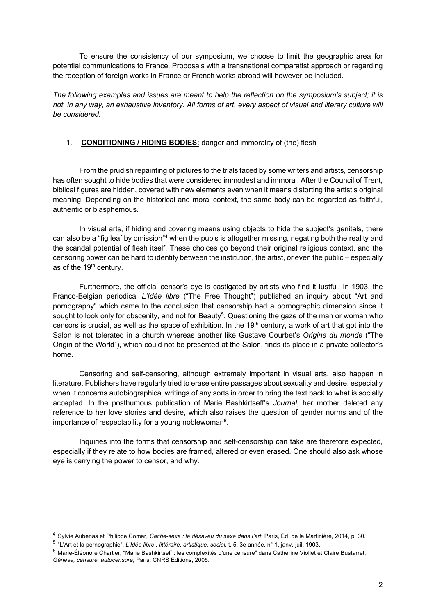To ensure the consistency of our symposium, we choose to limit the geographic area for potential communications to France. Proposals with a transnational comparatist approach or regarding the reception of foreign works in France or French works abroad will however be included.

*The following examples and issues are meant to help the reflection on the symposium's subject; it is*  not, in any way, an exhaustive inventory. All forms of art, every aspect of visual and literary culture will *be considered.*

# 1. **CONDITIONING / HIDING BODIES:** danger and immorality of (the) flesh

From the prudish repainting of pictures to the trials faced by some writers and artists, censorship has often sought to hide bodies that were considered immodest and immoral. After the Council of Trent, biblical figures are hidden, covered with new elements even when it means distorting the artist's original meaning. Depending on the historical and moral context, the same body can be regarded as faithful, authentic or blasphemous.

In visual arts, if hiding and covering means using objects to hide the subject's genitals, there can also be a "fig leaf by omission"<sup>4</sup> when the pubis is altogether missing, negating both the reality and the scandal potential of flesh itself. These choices go beyond their original religious context, and the censoring power can be hard to identify between the institution, the artist, or even the public – especially as of the 19<sup>th</sup> century.

Furthermore, the official censor's eye is castigated by artists who find it lustful. In 1903, the Franco-Belgian periodical *L'Idée libre* ("The Free Thought") published an inquiry about "Art and pornography" which came to the conclusion that censorship had a pornographic dimension since it sought to look only for obscenity, and not for Beauty $^5$ . Questioning the gaze of the man or woman who censors is crucial, as well as the space of exhibition. In the  $19<sup>th</sup>$  century, a work of art that got into the Salon is not tolerated in a church whereas another like Gustave Courbet's *Origine du monde* ("The Origin of the World"), which could not be presented at the Salon, finds its place in a private collector's home.

Censoring and self-censoring, although extremely important in visual arts, also happen in literature. Publishers have regularly tried to erase entire passages about sexuality and desire, especially when it concerns autobiographical writings of any sorts in order to bring the text back to what is socially accepted. In the posthumous publication of Marie Bashkirtseff's *Journal*, her mother deleted any reference to her love stories and desire, which also raises the question of gender norms and of the importance of respectability for a young noblewoman<sup>6</sup>.

Inquiries into the forms that censorship and self-censorship can take are therefore expected, especially if they relate to how bodies are framed, altered or even erased. One should also ask whose eye is carrying the power to censor, and why.

<sup>4</sup> Sylvie Aubenas et Philippe Comar, *Cache-sexe : le désaveu du sexe dans l'art*, Paris, Éd. de la Martinière, 2014, p. 30.

<sup>5</sup> "L'Art et la pornographie", *L'Idée libre : littéraire, artistique, social*, t. 5, 3e année, n° 1, janv.-juil. 1903.

<sup>6</sup> Marie-Éléonore Chartier, "Marie Bashkirtseff : les complexités d'une censure" dans Catherine Viollet et Claire Bustarret, *Génèse, censure, autocensure*, Paris, CNRS Éditions, 2005.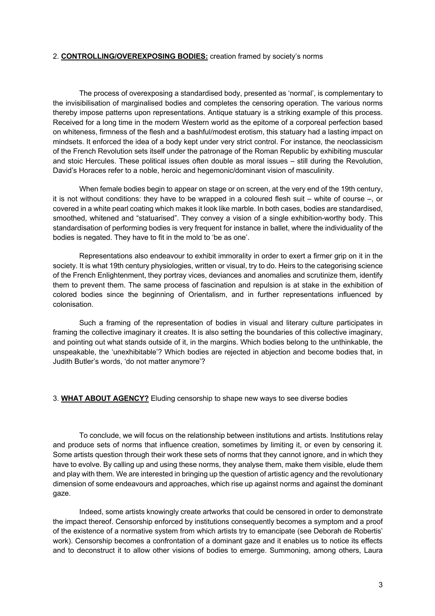# 2. **CONTROLLING/OVEREXPOSING BODIES:** creation framed by society's norms

The process of overexposing a standardised body, presented as 'normal', is complementary to the invisibilisation of marginalised bodies and completes the censoring operation. The various norms thereby impose patterns upon representations. Antique statuary is a striking example of this process. Received for a long time in the modern Western world as the epitome of a corporeal perfection based on whiteness, firmness of the flesh and a bashful/modest erotism, this statuary had a lasting impact on mindsets. It enforced the idea of a body kept under very strict control. For instance, the neoclassicism of the French Revolution sets itself under the patronage of the Roman Republic by exhibiting muscular and stoic Hercules. These political issues often double as moral issues – still during the Revolution, David's Horaces refer to a noble, heroic and hegemonic/dominant vision of masculinity.

When female bodies begin to appear on stage or on screen, at the very end of the 19th century, it is not without conditions: they have to be wrapped in a coloured flesh suit – white of course –, or covered in a white pearl coating which makes it look like marble. In both cases, bodies are standardised, smoothed, whitened and "statuarised". They convey a vision of a single exhibition-worthy body. This standardisation of performing bodies is very frequent for instance in ballet, where the individuality of the bodies is negated. They have to fit in the mold to 'be as one'.

Representations also endeavour to exhibit immorality in order to exert a firmer grip on it in the society. It is what 19th century physiologies, written or visual, try to do. Heirs to the categorising science of the French Enlightenment, they portray vices, deviances and anomalies and scrutinize them, identify them to prevent them. The same process of fascination and repulsion is at stake in the exhibition of colored bodies since the beginning of Orientalism, and in further representations influenced by colonisation.

Such a framing of the representation of bodies in visual and literary culture participates in framing the collective imaginary it creates. It is also setting the boundaries of this collective imaginary, and pointing out what stands outside of it, in the margins. Which bodies belong to the unthinkable, the unspeakable, the 'unexhibitable'? Which bodies are rejected in abjection and become bodies that, in Judith Butler's words, 'do not matter anymore'?

### 3. **WHAT ABOUT AGENCY?** Eluding censorship to shape new ways to see diverse bodies

To conclude, we will focus on the relationship between institutions and artists. Institutions relay and produce sets of norms that influence creation, sometimes by limiting it, or even by censoring it. Some artists question through their work these sets of norms that they cannot ignore, and in which they have to evolve. By calling up and using these norms, they analyse them, make them visible, elude them and play with them. We are interested in bringing up the question of artistic agency and the revolutionary dimension of some endeavours and approaches, which rise up against norms and against the dominant gaze.

Indeed, some artists knowingly create artworks that could be censored in order to demonstrate the impact thereof. Censorship enforced by institutions consequently becomes a symptom and a proof of the existence of a normative system from which artists try to emancipate (see Deborah de Robertis' work). Censorship becomes a confrontation of a dominant gaze and it enables us to notice its effects and to deconstruct it to allow other visions of bodies to emerge. Summoning, among others, Laura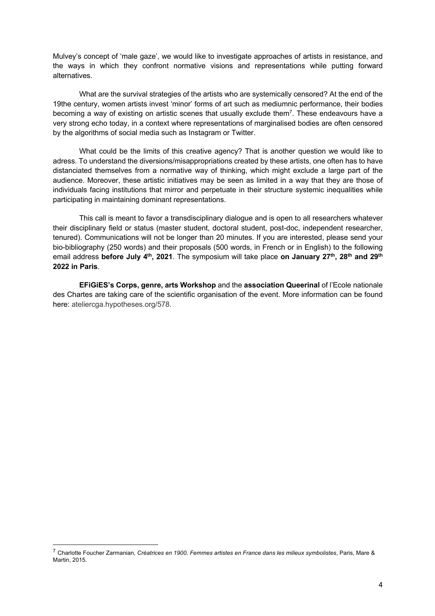Mulvey's concept of 'male gaze', we would like to investigate approaches of artists in resistance, and the ways in which they confront normative visions and representations while putting forward alternatives.

What are the survival strategies of the artists who are systemically censored? At the end of the 19the century, women artists invest 'minor' forms of art such as mediumnic performance, their bodies becoming a way of existing on artistic scenes that usually exclude them<sup>7</sup>. These endeavours have a very strong echo today, in a context where representations of marginalised bodies are often censored by the algorithms of social media such as Instagram or Twitter.

What could be the limits of this creative agency? That is another question we would like to adress. To understand the diversions/misappropriations created by these artists, one often has to have distanciated themselves from a normative way of thinking, which might exclude a large part of the audience. Moreover, these artistic initiatives may be seen as limited in a way that they are those of individuals facing institutions that mirror and perpetuate in their structure systemic inequalities while participating in maintaining dominant representations.

This call is meant to favor a transdisciplinary dialogue and is open to all researchers whatever their disciplinary field or status (master student, doctoral student, post-doc, independent researcher, tenured). Communications will not be longer than 20 minutes. If you are interested, please send your bio-bibliography (250 words) and their proposals (500 words, in French or in English) to the following email address **before July 4th, 2021**. The symposium will take place **on January 27th, 28th and 29th 2022 in Paris**.

**EFiGiES's Corps, genre, arts Workshop** and the **association Queerinal** of l'Ecole nationale des Chartes are taking care of the scientific organisation of the event. More information can be found here: ateliercga.hypotheses.org/578.

<sup>7</sup> Charlotte Foucher Zarmanian, *Créatrices en 1900. Femmes artistes en France dans les milieux symbolistes*, Paris, Mare & Martin, 2015.